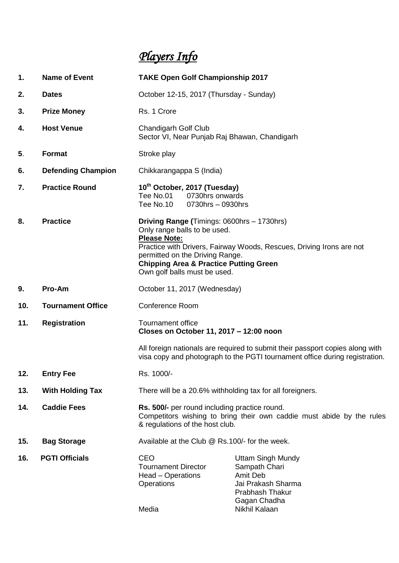# *Players Info*

| 1.  | <b>Name of Event</b>      | <b>TAKE Open Golf Championship 2017</b>                                                                                                                                                                                                                                                           |                                                                                                                                        |
|-----|---------------------------|---------------------------------------------------------------------------------------------------------------------------------------------------------------------------------------------------------------------------------------------------------------------------------------------------|----------------------------------------------------------------------------------------------------------------------------------------|
| 2.  | <b>Dates</b>              | October 12-15, 2017 (Thursday - Sunday)                                                                                                                                                                                                                                                           |                                                                                                                                        |
| 3.  | <b>Prize Money</b>        | Rs. 1 Crore                                                                                                                                                                                                                                                                                       |                                                                                                                                        |
| 4.  | <b>Host Venue</b>         | <b>Chandigarh Golf Club</b><br>Sector VI, Near Punjab Raj Bhawan, Chandigarh                                                                                                                                                                                                                      |                                                                                                                                        |
| 5.  | <b>Format</b>             | Stroke play                                                                                                                                                                                                                                                                                       |                                                                                                                                        |
| 6.  | <b>Defending Champion</b> | Chikkarangappa S (India)                                                                                                                                                                                                                                                                          |                                                                                                                                        |
| 7.  | <b>Practice Round</b>     | 10 <sup>th</sup> October, 2017 (Tuesday)<br>0730hrs onwards<br>Tee No.01<br>Tee No.10<br>0730hrs - 0930hrs                                                                                                                                                                                        |                                                                                                                                        |
| 8.  | <b>Practice</b>           | Driving Range (Timings: 0600hrs - 1730hrs)<br>Only range balls to be used.<br><b>Please Note:</b><br>Practice with Drivers, Fairway Woods, Rescues, Driving Irons are not<br>permitted on the Driving Range.<br><b>Chipping Area &amp; Practice Putting Green</b><br>Own golf balls must be used. |                                                                                                                                        |
| 9.  | Pro-Am                    | October 11, 2017 (Wednesday)                                                                                                                                                                                                                                                                      |                                                                                                                                        |
| 10. | <b>Tournament Office</b>  | <b>Conference Room</b>                                                                                                                                                                                                                                                                            |                                                                                                                                        |
| 11. | <b>Registration</b>       | <b>Tournament office</b><br>Closes on October 11, 2017 - 12:00 noon                                                                                                                                                                                                                               |                                                                                                                                        |
|     |                           | All foreign nationals are required to submit their passport copies along with<br>visa copy and photograph to the PGTI tournament office during registration.                                                                                                                                      |                                                                                                                                        |
| 12. | <b>Entry Fee</b>          | Rs. 1000/-                                                                                                                                                                                                                                                                                        |                                                                                                                                        |
| 13. | <b>With Holding Tax</b>   | There will be a 20.6% withholding tax for all foreigners.                                                                                                                                                                                                                                         |                                                                                                                                        |
| 14. | <b>Caddie Fees</b>        | Rs. 500/- per round including practice round.<br>Competitors wishing to bring their own caddie must abide by the rules<br>& regulations of the host club.                                                                                                                                         |                                                                                                                                        |
| 15. | <b>Bag Storage</b>        | Available at the Club @ Rs.100/- for the week.                                                                                                                                                                                                                                                    |                                                                                                                                        |
| 16. | <b>PGTI Officials</b>     | <b>CEO</b><br><b>Tournament Director</b><br>Head – Operations<br>Operations<br>Media                                                                                                                                                                                                              | <b>Uttam Singh Mundy</b><br>Sampath Chari<br>Amit Deb<br>Jai Prakash Sharma<br><b>Prabhash Thakur</b><br>Gagan Chadha<br>Nikhil Kalaan |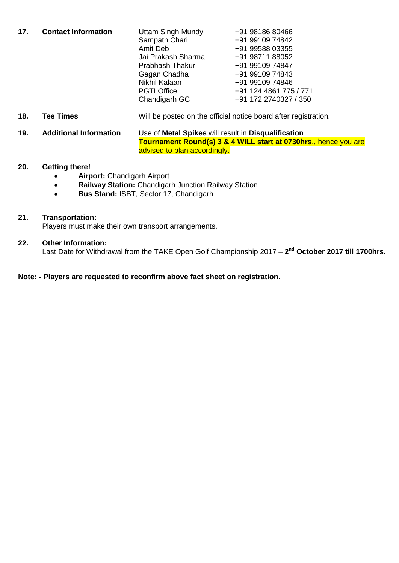| 17. | <b>Contact Information</b> | <b>Uttam Singh Mundy</b> | +91 98186 80466        |
|-----|----------------------------|--------------------------|------------------------|
|     |                            | Sampath Chari            | +91 99109 74842        |
|     |                            | Amit Deb                 | +91 99588 03355        |
|     |                            | Jai Prakash Sharma       | +91 98711 88052        |
|     |                            | <b>Prabhash Thakur</b>   | +91 99109 74847        |
|     |                            | Gagan Chadha             | +91 99109 74843        |
|     |                            | Nikhil Kalaan            | +91 99109 74846        |
|     |                            | <b>PGTI Office</b>       | +91 124 4861 775 / 771 |
|     |                            | Chandigarh GC            | +91 172 2740327 / 350  |

- **18. Tee Times** Will be posted on the official notice board after registration.
- **19. Additional Information** Use of **Metal Spikes** will result in **Disqualification Tournament Round(s) 3 & 4 WILL start at 0730hrs**., hence you are advised to plan accordingly.

## **20. Getting there!**

- **Airport:** Chandigarh Airport
- **Railway Station:** Chandigarh Junction Railway Station
- **Bus Stand: ISBT, Sector 17, Chandigarh**

## **21. Transportation:**

Players must make their own transport arrangements.

#### **22. Other Information:**

Last Date for Withdrawal from the TAKE Open Golf Championship 2017 – **2 nd October 2017 till 1700hrs.**

#### **Note: - Players are requested to reconfirm above fact sheet on registration.**